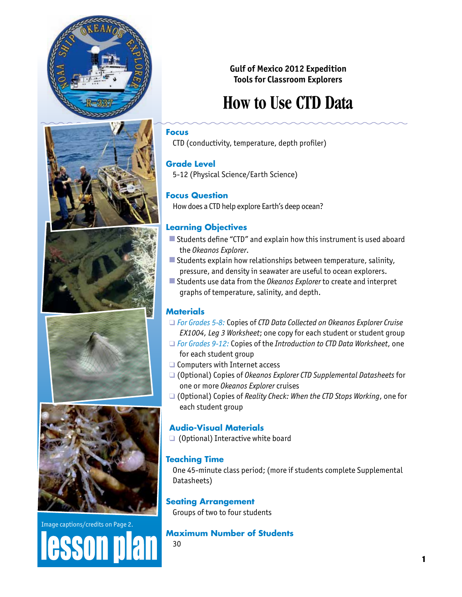









# Image captions/credits on Page 2. esson pla

## **Gulf of Mexico 2012 Expedition Tools for Classroom Explorers**

# **How to Use CTD Data**

## **Focus**

CTD (conductivity, temperature, depth profiler)

## **Grade Level**

5-12 (Physical Science/Earth Science)

## **Focus Question**

How does a CTD help explore Earth's deep ocean?

## **Learning Objectives**

- $\blacksquare$  Students define "CTD" and explain how this instrument is used aboard the *Okeanos Explorer*.
- $\blacksquare$  Students explain how relationships between temperature, salinity, pressure, and density in seawater are useful to ocean explorers.
- Students use data from the *Okeanos Explorer* to create and interpret graphs of temperature, salinity, and depth.

## **Materials**

- □ *For Grades 5-8:* Copies of *CTD Data Collected on Okeanos Explorer Cruise EX1004, Leg 3 Worksheet*; one copy for each student or student group
- □ *For Grades 9-12:* Copies of the *Introduction to CTD Data Worksheet*, one for each student group
- $\Box$  Computers with Internet access
- □ (Optional) Copies of *Okeanos Explorer CTD Supplemental Datasheets* for one or more *Okeanos Explorer* cruises
- □ (Optional) Copies of *Reality Check: When the CTD Stops Working*, one for each student group

## **Audio-Visual Materials**

 $\Box$  (Optional) Interactive white board

## **Teaching Time**

One 45-minute class period; (more if students complete Supplemental Datasheets)

## **Seating Arrangement**

Groups of two to four students

**Maximum Number of Students**

30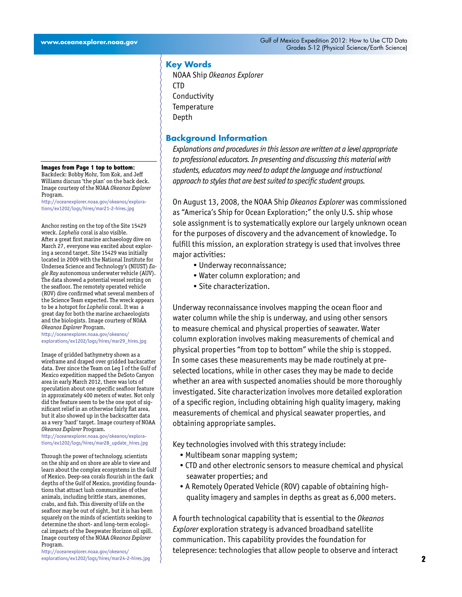## **Key Words**

NOAA Ship *Okeanos Explorer* CTD Conductivity **Temperature** Depth

#### **Background Information**

*Explanations and procedures in this lesson are written at a level appropriate to professional educators. In presenting and discussing this material with students, educators may need to adapt the language and instructional approach to styles that are best suited to specific student groups.*

On August 13, 2008, the NOAA Ship *Okeanos Explorer* was commissioned as "America's Ship for Ocean Exploration;" the only U.S. ship whose sole assignment is to systematically explore our largely unknown ocean for the purposes of discovery and the advancement of knowledge. To fulfill this mission, an exploration strategy is used that involves three major activities:

- Underway reconnaissance;
- Water column exploration; and
- Site characterization.

Underway reconnaissance involves mapping the ocean floor and water column while the ship is underway, and using other sensors to measure chemical and physical properties of seawater. Water column exploration involves making measurements of chemical and physical properties "from top to bottom" while the ship is stopped. In some cases these measurements may be made routinely at preselected locations, while in other cases they may be made to decide whether an area with suspected anomalies should be more thoroughly investigated. Site characterization involves more detailed exploration of a specific region, including obtaining high quality imagery, making measurements of chemical and physical seawater properties, and obtaining appropriate samples.

Key technologies involved with this strategy include:

- Multibeam sonar mapping system;
- CTD and other electronic sensors to measure chemical and physical seawater properties; and
- A Remotely Operated Vehicle (ROV) capable of obtaining highquality imagery and samples in depths as great as 6,000 meters.

A fourth technological capability that is essential to the *Okeanos Explorer* exploration strategy is advanced broadband satellite communication. This capability provides the foundation for telepresence: technologies that allow people to observe and interact

#### **Images from Page 1 top to bottom:**

Backdeck: Bobby Mohr, Tom Kok, and Jeff Williams discuss 'the plan' on the back deck. Image courtesy of the NOAA *Okeanos Explorer* Program.

[http://oceanexplorer.noaa.gov/okeanos/explora](http://oceanexplorer.noaa.gov/okeanos/explorations/ex1202/logs/hires/mar21-2-hires.jpg)[tions/ex1202/logs/hires/mar21-2-hires.jpg](http://oceanexplorer.noaa.gov/okeanos/explorations/ex1202/logs/hires/mar21-2-hires.jpg)

Anchor resting on the top of the Site 15429 wreck. *Lophelia* coral is also visible. After a great first marine archaeology dive on March 27, everyone was excited about exploring a second target. Site 15429 was initially located in 2009 with the National Institute for Undersea Science and Technology's (NIUST) *Eagle Ray* autonomous underwater vehicle (AUV). The data showed a potential vessel resting on the seafloor. The remotely operated vehicle (ROV) dive confirmed what several members of the Science Team expected. The wreck appears to be a hotspot for *Lophelia* coral. It was a great day for both the marine archaeologists and the biologists. Image courtesy of NOAA *Okeanos Explorer* Program.

[http://oceanexplorer.noaa.gov/okeanos/](http://oceanexplorer.noaa.gov/okeanos/explorations/ex1202/logs/hires/mar29_hires.jpg) [explorations/ex1202/logs/hires/mar29\\_hires.jpg](http://oceanexplorer.noaa.gov/okeanos/explorations/ex1202/logs/hires/mar29_hires.jpg)

Image of gridded bathymetry shown as a wireframe and draped over gridded backscatter data. Ever since the Team on Leg I of the Gulf of Mexico expedition mapped the DeSoto Canyon area in early March 2012, there was lots of speculation about one specific seafloor feature in approximately 400 meters of water. Not only did the feature seem to be the one spot of significant relief in an otherwise fairly flat area, but it also showed up in the backscatter data as a very 'hard' target. Image courtesy of NOAA *Okeanos Explorer* Program.

[http://oceanexplorer.noaa.gov/okeanos/explora](http://oceanexplorer.noaa.gov/okeanos/explorations/ex1202/logs/hires/mar28_update_hires.jpg)[tions/ex1202/logs/hires/mar28\\_update\\_hires.jpg](http://oceanexplorer.noaa.gov/okeanos/explorations/ex1202/logs/hires/mar28_update_hires.jpg)

determine the short- and long-term ecologi-Through the power of technology, scientists on the ship and on shore are able to view and learn about the complex ecosystems in the Gulf of Mexico. Deep-sea corals flourish in the dark depths of the Gulf of Mexico, providing foundations that attract lush communities of other animals, including brittle stars, anemones, crabs, and fish. This diversity of life on the seafloor may be out of sight, but it is has been squarely on the minds of scientists seeking to cal impacts of the Deepwater Horizon oil spill. Image courtesy of the NOAA *Okeanos Explorer* Program.

[http://oceanexplorer.noaa.gov/okeanos/](http://oceanexplorer.noaa.gov/okeanos/explorations/ex1202/logs/hires/mar24-2-hires.jpg) [explorations/ex1202/logs/hires/mar24-2-hires.jpg](http://oceanexplorer.noaa.gov/okeanos/explorations/ex1202/logs/hires/mar24-2-hires.jpg)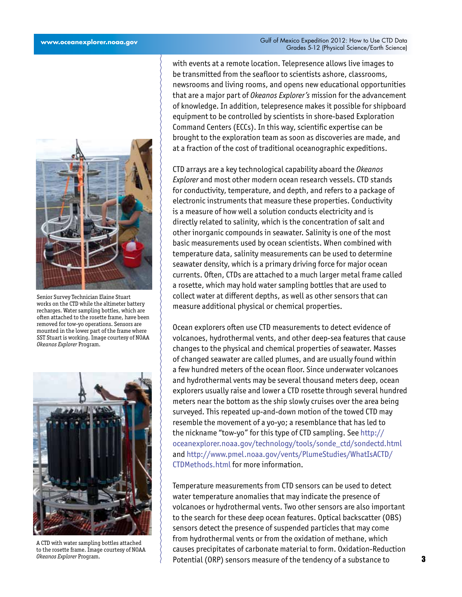

Senior Survey Technician Elaine Stuart works on the CTD while the altimeter battery recharges. Water sampling bottles, which are often attached to the rosette frame, have been removed for tow-yo operations. Sensors are mounted in the lower part of the frame where SST Stuart is working. Image courtesy of NOAA *Okeanos Explorer* Program.



A CTD with water sampling bottles attached to the rosette frame. Image courtesy of NOAA *Okeanos Explorer* Program.

with events at a remote location. Telepresence allows live images to be transmitted from the seafloor to scientists ashore, classrooms, newsrooms and living rooms, and opens new educational opportunities that are a major part of *Okeanos Explorer's* mission for the advancement of knowledge. In addition, telepresence makes it possible for shipboard equipment to be controlled by scientists in shore-based Exploration Command Centers (ECCs). In this way, scientific expertise can be brought to the exploration team as soon as discoveries are made, and at a fraction of the cost of traditional oceanographic expeditions.

CTD arrays are a key technological capability aboard the *Okeanos Explorer* and most other modern ocean research vessels. CTD stands for conductivity, temperature, and depth, and refers to a package of electronic instruments that measure these properties. Conductivity is a measure of how well a solution conducts electricity and is directly related to salinity, which is the concentration of salt and other inorganic compounds in seawater. Salinity is one of the most basic measurements used by ocean scientists. When combined with temperature data, salinity measurements can be used to determine seawater density, which is a primary driving force for major ocean currents. Often, CTDs are attached to a much larger metal frame called a rosette, which may hold water sampling bottles that are used to collect water at different depths, as well as other sensors that can measure additional physical or chemical properties.

Ocean explorers often use CTD measurements to detect evidence of volcanoes, hydrothermal vents, and other deep-sea features that cause changes to the physical and chemical properties of seawater. Masses of changed seawater are called plumes, and are usually found within a few hundred meters of the ocean floor. Since underwater volcanoes and hydrothermal vents may be several thousand meters deep, ocean explorers usually raise and lower a CTD rosette through several hundred meters near the bottom as the ship slowly cruises over the area being surveyed. This repeated up-and-down motion of the towed CTD may resemble the movement of a yo-yo; a resemblance that has led to the nickname "tow-yo" for this type of CTD sampling. See [http://](http://oceanexplorer.noaa.gov/technology/tools/sonde_ctd/sondectd.html) [oceanexplorer.noaa.gov/technology/tools/sonde\\_ctd/sondectd.html](http://oceanexplorer.noaa.gov/technology/tools/sonde_ctd/sondectd.html) and [http://www.pmel.noaa.gov/vents/PlumeStudies/WhatIsACTD/](http://www.pmel.noaa.gov/vents/PlumeStudies/WhatIsACTD/CTDMethods.html) [CTDMethods.html](http://www.pmel.noaa.gov/vents/PlumeStudies/WhatIsACTD/CTDMethods.html) for more information.

Temperature measurements from CTD sensors can be used to detect water temperature anomalies that may indicate the presence of volcanoes or hydrothermal vents. Two other sensors are also important to the search for these deep ocean features. Optical backscatter (OBS) sensors detect the presence of suspended particles that may come from hydrothermal vents or from the oxidation of methane, which causes precipitates of carbonate material to form. Oxidation-Reduction Potential (ORP) sensors measure of the tendency of a substance to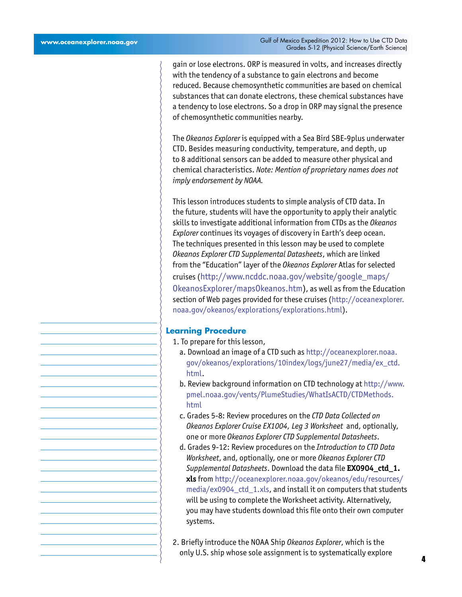gain or lose electrons. ORP is measured in volts, and increases directly with the tendency of a substance to gain electrons and become reduced. Because chemosynthetic communities are based on chemical substances that can donate electrons, these chemical substances have a tendency to lose electrons. So a drop in ORP may signal the presence of chemosynthetic communities nearby.

The *Okeanos Explorer* is equipped with a Sea Bird SBE-9plus underwater CTD. Besides measuring conductivity, temperature, and depth, up to 8 additional sensors can be added to measure other physical and chemical characteristics. *Note: Mention of proprietary names does not imply endorsement by NOAA.*

This lesson introduces students to simple analysis of CTD data. In the future, students will have the opportunity to apply their analytic skills to investigate additional information from CTDs as the *Okeanos Explorer* continues its voyages of discovery in Earth's deep ocean. The techniques presented in this lesson may be used to complete *Okeanos Explorer CTD Supplemental Datasheets*, which are linked from the "Education" layer of the *Okeanos Explorer* Atlas for selected cruises ([http://www.ncddc.noaa.gov/website/google\\_maps/](http://www.ncddc.noaa.gov/website/google_maps/OkeanosExplorer/mapsOkeanos.htm) [OkeanosExplorer/mapsOkeanos.htm](http://www.ncddc.noaa.gov/website/google_maps/OkeanosExplorer/mapsOkeanos.htm)), as well as from the Education section of Web pages provided for these cruises ([http://oceanexplorer.](http://oceanexplorer.noaa.gov/okeanos/explorations/explorations.html) [noaa.gov/okeanos/explorations/explorations.html\)](http://oceanexplorer.noaa.gov/okeanos/explorations/explorations.html).

#### **Learning Procedure**

- 1. To prepare for this lesson,
	- a. Download an image of a CTD such as [http://oceanexplorer.noaa.](http://oceanexplorer.noaa.gov/okeanos/explorations/10index/logs/june27/media/ex_ctd.html) [gov/okeanos/explorations/10index/logs/june27/media/ex\\_ctd.](http://oceanexplorer.noaa.gov/okeanos/explorations/10index/logs/june27/media/ex_ctd.html) [html.](http://oceanexplorer.noaa.gov/okeanos/explorations/10index/logs/june27/media/ex_ctd.html)
	- b. Review background information on CTD technology at [http://www.](http://www.pmel.noaa.gov/vents/PlumeStudies/WhatIsACTD/CTDMethods.html) [pmel.noaa.gov/vents/PlumeStudies/WhatIsACTD/CTDMethods.](http://www.pmel.noaa.gov/vents/PlumeStudies/WhatIsACTD/CTDMethods.html) [html](http://www.pmel.noaa.gov/vents/PlumeStudies/WhatIsACTD/CTDMethods.html)
	- c. Grades 5-8: Review procedures on the *CTD Data Collected on Okeanos Explorer Cruise EX1004, Leg 3 Worksheet* and, optionally, one or more *Okeanos Explorer CTD Supplemental Datasheets*.
- d. Grades 9-12: Review procedures on the *Introduction to CTD Data Worksheet*, and, optionally, one or more *Okeanos Explorer CTD Supplemental Datasheets*. Download the data file **EX0904\_ctd\_1. xls** from [http://oceanexplorer.noaa.gov/okeanos/edu/resources/](http://oceanexplorer.noaa.gov/okeanos/edu/resources/media/ex0904_ctd_1.xls) [media/ex0904\\_ctd\\_1.xls,](http://oceanexplorer.noaa.gov/okeanos/edu/resources/media/ex0904_ctd_1.xls) and install it on computers that students will be using to complete the Worksheet activity. Alternatively, you may have students download this file onto their own computer systems.
- 2. Briefly introduce the NOAA Ship *Okeanos Explorer*, which is the only U.S. ship whose sole assignment is to systematically explore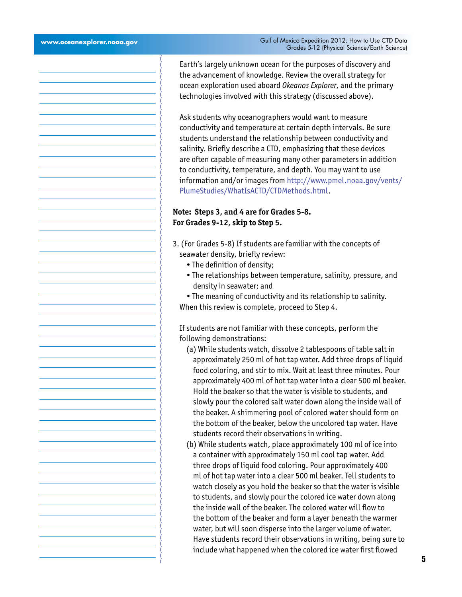Earth's largely unknown ocean for the purposes of discovery and the advancement of knowledge. Review the overall strategy for ocean exploration used aboard *Okeanos Explorer*, and the primary technologies involved with this strategy (discussed above).

Ask students why oceanographers would want to measure conductivity and temperature at certain depth intervals. Be sure students understand the relationship between conductivity and salinity. Briefly describe a CTD, emphasizing that these devices are often capable of measuring many other parameters in addition to conductivity, temperature, and depth. You may want to use information and/or images from [http://www.pmel.noaa.gov/vents/](http://www.pmel.noaa.gov/vents/PlumeStudies/WhatIsACTD/CTDMethods.html) [PlumeStudies/WhatIsACTD/CTDMethods.html](http://www.pmel.noaa.gov/vents/PlumeStudies/WhatIsACTD/CTDMethods.html).

## **Note: Steps 3, and 4 are for Grades 5-8. For Grades 9-12, skip to Step 5.**

- 3. (For Grades 5-8) If students are familiar with the concepts of seawater density, briefly review:
	- The definition of density;
	- The relationships between temperature, salinity, pressure, and density in seawater; and

• The meaning of conductivity and its relationship to salinity. When this review is complete, proceed to Step 4.

If students are not familiar with these concepts, perform the following demonstrations:

- (a) While students watch, dissolve 2 tablespoons of table salt in approximately 250 ml of hot tap water. Add three drops of liquid food coloring, and stir to mix. Wait at least three minutes. Pour approximately 400 ml of hot tap water into a clear 500 ml beaker. Hold the beaker so that the water is visible to students, and slowly pour the colored salt water down along the inside wall of the beaker. A shimmering pool of colored water should form on the bottom of the beaker, below the uncolored tap water. Have students record their observations in writing.
- (b) While students watch, place approximately 100 ml of ice into a container with approximately 150 ml cool tap water. Add three drops of liquid food coloring. Pour approximately 400 ml of hot tap water into a clear 500 ml beaker. Tell students to watch closely as you hold the beaker so that the water is visible to students, and slowly pour the colored ice water down along the inside wall of the beaker. The colored water will flow to the bottom of the beaker and form a layer beneath the warmer water, but will soon disperse into the larger volume of water. Have students record their observations in writing, being sure to include what happened when the colored ice water first flowed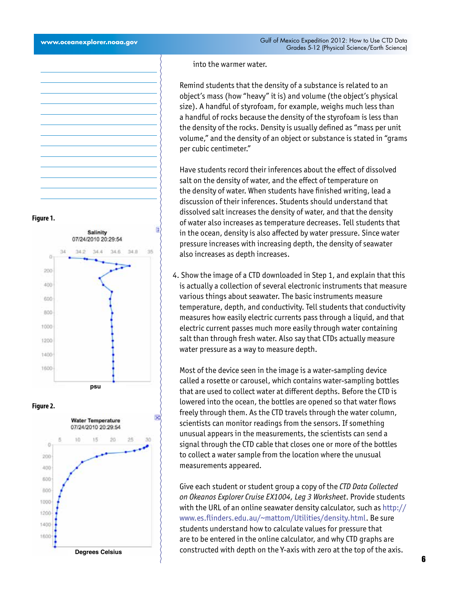into the warmer water.

 Remind students that the density of a substance is related to an object's mass (how "heavy" it is) and volume (the object's physical size). A handful of styrofoam, for example, weighs much less than a handful of rocks because the density of the styrofoam is less than the density of the rocks. Density is usually defined as "mass per unit volume," and the density of an object or substance is stated in "grams per cubic centimeter."

Have students record their inferences about the effect of dissolved salt on the density of water, and the effect of temperature on the density of water. When students have finished writing, lead a discussion of their inferences. Students should understand that dissolved salt increases the density of water, and that the density of water also increases as temperature decreases. Tell students that in the ocean, density is also affected by water pressure. Since water pressure increases with increasing depth, the density of seawater also increases as depth increases.

4. Show the image of a CTD downloaded in Step 1, and explain that this is actually a collection of several electronic instruments that measure various things about seawater. The basic instruments measure temperature, depth, and conductivity. Tell students that conductivity measures how easily electric currents pass through a liquid, and that electric current passes much more easily through water containing salt than through fresh water. Also say that CTDs actually measure water pressure as a way to measure depth.

 Most of the device seen in the image is a water-sampling device called a rosette or carousel, which contains water-sampling bottles that are used to collect water at different depths. Before the CTD is lowered into the ocean, the bottles are opened so that water flows freely through them. As the CTD travels through the water column, scientists can monitor readings from the sensors. If something unusual appears in the measurements, the scientists can send a signal through the CTD cable that closes one or more of the bottles to collect a water sample from the location where the unusual measurements appeared.

Give each student or student group a copy of the *CTD Data Collected on Okeanos Explorer Cruise EX1004, Leg 3 Worksheet*. Provide students with the URL of an online seawater density calculator, such as [http://](http://www.es.flinders.edu.au/~mattom/Utilities/density.html) [www.es.flinders.edu.au/~mattom/Utilities/density.html](http://www.es.flinders.edu.au/~mattom/Utilities/density.html). Be sure students understand how to calculate values for pressure that are to be entered in the online calculator, and why CTD graphs are constructed with depth on the Y-axis with zero at the top of the axis.

**Figure 1.**





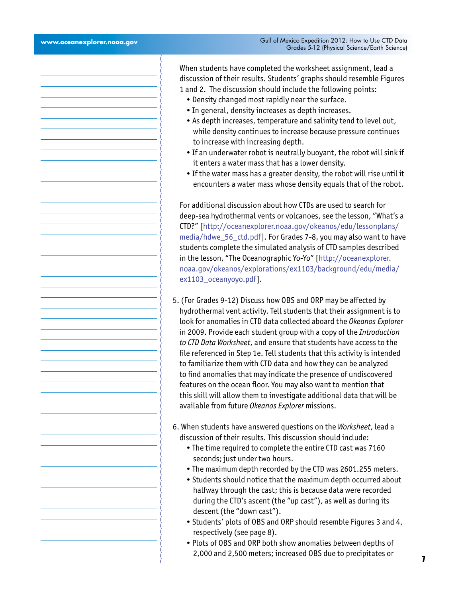When students have completed the worksheet assignment, lead a discussion of their results. Students' graphs should resemble Figures 1 and 2. The discussion should include the following points:

- Density changed most rapidly near the surface.
- In general, density increases as depth increases.
- As depth increases, temperature and salinity tend to level out, while density continues to increase because pressure continues to increase with increasing depth.
- If an underwater robot is neutrally buoyant, the robot will sink if it enters a water mass that has a lower density.
- If the water mass has a greater density, the robot will rise until it encounters a water mass whose density equals that of the robot.

For additional discussion about how CTDs are used to search for deep-sea hydrothermal vents or volcanoes, see the lesson, "What's a CTD?" [\[http://oceanexplorer.noaa.gov/okeanos/edu/lessonplans/](http://oceanexplorer.noaa.gov/okeanos/edu/lessonplans/media/hdwe_56_ctd.pdf) [media/hdwe\\_56\\_ctd.pdf](http://oceanexplorer.noaa.gov/okeanos/edu/lessonplans/media/hdwe_56_ctd.pdf)]. For Grades 7-8, you may also want to have students complete the simulated analysis of CTD samples described in the lesson, "The Oceanographic Yo-Yo" [\[http://oceanexplorer.](http://oceanexplorer.noaa.gov/okeanos/explorations/ex1103/background/edu/media/ex1103_oceanyoyo.pdf) [noaa.gov/okeanos/explorations/ex1103/background/edu/media/](http://oceanexplorer.noaa.gov/okeanos/explorations/ex1103/background/edu/media/ex1103_oceanyoyo.pdf) ex1103 oceanyoyo.pdf].

- 5. (For Grades 9-12) Discuss how OBS and ORP may be affected by hydrothermal vent activity. Tell students that their assignment is to look for anomalies in CTD data collected aboard the *Okeanos Explorer*  in 2009. Provide each student group with a copy of the *Introduction to CTD Data Worksheet*, and ensure that students have access to the file referenced in Step 1e. Tell students that this activity is intended to familiarize them with CTD data and how they can be analyzed to find anomalies that may indicate the presence of undiscovered features on the ocean floor. You may also want to mention that this skill will allow them to investigate additional data that will be available from future *Okeanos Explorer* missions.
- 6. When students have answered questions on the *Worksheet*, lead a discussion of their results. This discussion should include:
	- The time required to complete the entire CTD cast was 7160 seconds; just under two hours.
	- The maximum depth recorded by the CTD was 2601.255 meters.
	- Students should notice that the maximum depth occurred about halfway through the cast; this is because data were recorded during the CTD's ascent (the "up cast"), as well as during its descent (the "down cast").
	- Students' plots of OBS and ORP should resemble Figures 3 and 4, respectively (see page 8).
	- Plots of OBS and ORP both show anomalies between depths of 2,000 and 2,500 meters; increased OBS due to precipitates or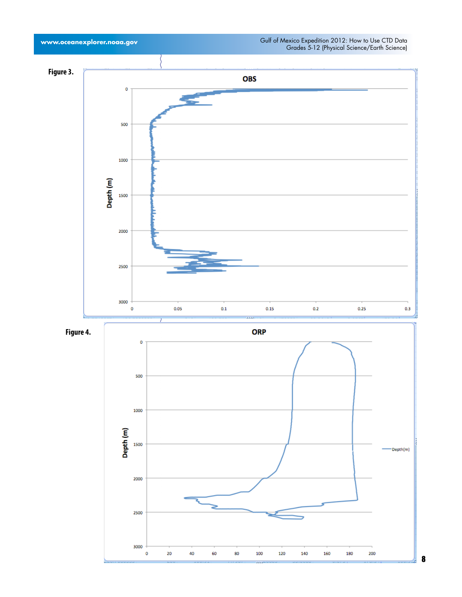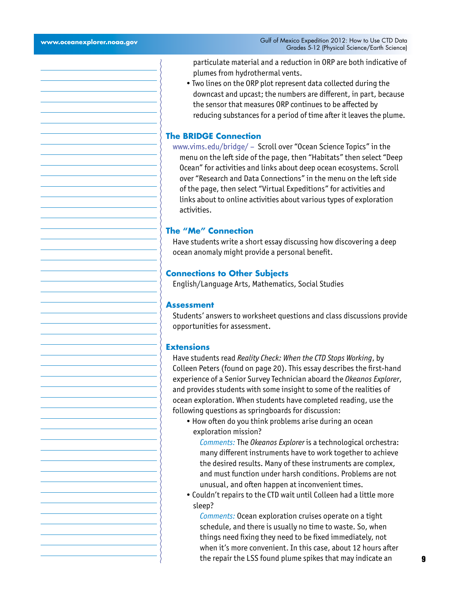particulate material and a reduction in ORP are both indicative of plumes from hydrothermal vents.

• Two lines on the ORP plot represent data collected during the downcast and upcast; the numbers are different, in part, because the sensor that measures ORP continues to be affected by reducing substances for a period of time after it leaves the plume.

#### **The BRIDGE Connection**

www.vims.edu/bridge/ – Scroll over "Ocean Science Topics" in the menu on the left side of the page, then "Habitats" then select "Deep Ocean" for activities and links about deep ocean ecosystems. Scroll over "Research and Data Connections" in the menu on the left side of the page, then select "Virtual Expeditions" for activities and links about to online activities about various types of exploration activities.

#### **The "Me" Connection**

Have students write a short essay discussing how discovering a deep ocean anomaly might provide a personal benefit.

#### **Connections to Other Subjects**

English/Language Arts, Mathematics, Social Studies

#### **Assessment**

Students' answers to worksheet questions and class discussions provide opportunities for assessment.

#### **Extensions**

Have students read *Reality Check: When the CTD Stops Working*, by Colleen Peters (found on page 20). This essay describes the first-hand experience of a Senior Survey Technician aboard the *Okeanos Explorer*, and provides students with some insight to some of the realities of ocean exploration. When students have completed reading, use the following questions as springboards for discussion:

- How often do you think problems arise during an ocean exploration mission?
	- *Comments:* The *Okeanos Explorer* is a technological orchestra: many different instruments have to work together to achieve the desired results. Many of these instruments are complex, and must function under harsh conditions. Problems are not unusual, and often happen at inconvenient times.
- Couldn't repairs to the CTD wait until Colleen had a little more sleep?

*Comments:* Ocean exploration cruises operate on a tight schedule, and there is usually no time to waste. So, when things need fixing they need to be fixed immediately, not when it's more convenient. In this case, about 12 hours after the repair the LSS found plume spikes that may indicate an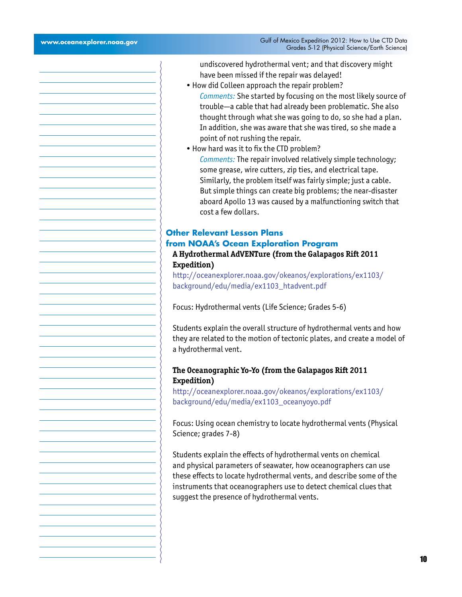undiscovered hydrothermal vent; and that discovery might have been missed if the repair was delayed!

- How did Colleen approach the repair problem?
- *Comments:* She started by focusing on the most likely source of trouble—a cable that had already been problematic. She also thought through what she was going to do, so she had a plan. In addition, she was aware that she was tired, so she made a point of not rushing the repair.
- How hard was it to fix the CTD problem? *Comments:* The repair involved relatively simple technology; some grease, wire cutters, zip ties, and electrical tape. Similarly, the problem itself was fairly simple; just a cable. But simple things can create big problems; the near-disaster aboard Apollo 13 was caused by a malfunctioning switch that cost a few dollars.

## **Other Relevant Lesson Plans from NOAA's Ocean Exploration Program**

## **A Hydrothermal AdVENTure (from the Galapagos Rift 2011 Expedition)**

[http://oceanexplorer.noaa.gov/okeanos/explorations/ex1103/](http://oceanexplorer.noaa.gov/okeanos/explorations/ex1103/background/edu/media/ex1103_htadvent.pdf) [background/edu/media/ex1103\\_htadvent.pdf](http://oceanexplorer.noaa.gov/okeanos/explorations/ex1103/background/edu/media/ex1103_htadvent.pdf)

Focus: Hydrothermal vents (Life Science; Grades 5-6)

Students explain the overall structure of hydrothermal vents and how they are related to the motion of tectonic plates, and create a model of a hydrothermal vent.

## **The Oceanographic Yo-Yo (from the Galapagos Rift 2011 Expedition)**

[http://oceanexplorer.noaa.gov/okeanos/explorations/ex1103/](http://oceanexplorer.noaa.gov/okeanos/explorations/ex1103/background/edu/media/ex1103_oceanyoyo.pdf) [background/edu/media/ex1103\\_oceanyoyo.pdf](http://oceanexplorer.noaa.gov/okeanos/explorations/ex1103/background/edu/media/ex1103_oceanyoyo.pdf)

Focus: Using ocean chemistry to locate hydrothermal vents (Physical Science; grades 7-8)

Students explain the effects of hydrothermal vents on chemical and physical parameters of seawater, how oceanographers can use these effects to locate hydrothermal vents, and describe some of the instruments that oceanographers use to detect chemical clues that suggest the presence of hydrothermal vents.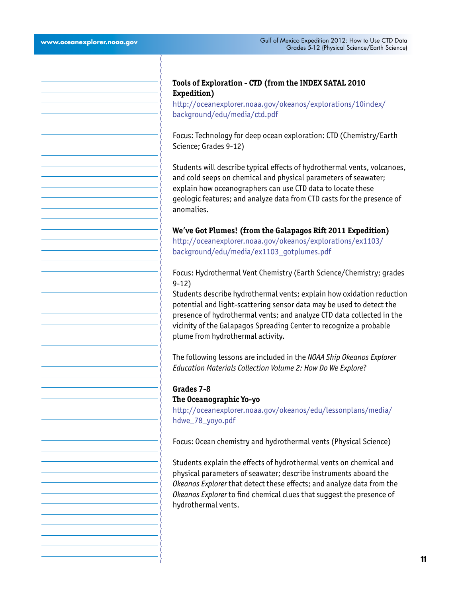## **Tools of Exploration - CTD (from the INDEX SATAL 2010 Expedition)**

[http://oceanexplorer.noaa.gov/okeanos/explorations/10index/](http://oceanexplorer.noaa.gov/okeanos/explorations/10index/background/edu/media/ctd.pdf) [background/edu/media/ctd.pdf](http://oceanexplorer.noaa.gov/okeanos/explorations/10index/background/edu/media/ctd.pdf)

Focus: Technology for deep ocean exploration: CTD (Chemistry/Earth Science; Grades 9-12)

Students will describe typical effects of hydrothermal vents, volcanoes, and cold seeps on chemical and physical parameters of seawater; explain how oceanographers can use CTD data to locate these geologic features; and analyze data from CTD casts for the presence of anomalies.

#### **We've Got Plumes! (from the Galapagos Rift 2011 Expedition)**

[http://oceanexplorer.noaa.gov/okeanos/explorations/ex1103/](http://oceanexplorer.noaa.gov/okeanos/explorations/ex1103/background/edu/media/ex1103_gotplumes.pdf) [background/edu/media/ex1103\\_gotplumes.pdf](http://oceanexplorer.noaa.gov/okeanos/explorations/ex1103/background/edu/media/ex1103_gotplumes.pdf)

Focus: Hydrothermal Vent Chemistry (Earth Science/Chemistry; grades 9-12)

Students describe hydrothermal vents; explain how oxidation reduction potential and light-scattering sensor data may be used to detect the presence of hydrothermal vents; and analyze CTD data collected in the vicinity of the Galapagos Spreading Center to recognize a probable plume from hydrothermal activity.

The following lessons are included in the *NOAA Ship Okeanos Explorer Education Materials Collection Volume 2: How Do We Explore*?

#### **Grades 7-8**

### **The Oceanographic Yo-yo**

[http://oceanexplorer.noaa.gov/okeanos/edu/lessonplans/media/](http://oceanexplorer.noaa.gov/okeanos/explorations/ex1103/background/edu/media/ex1103_oceanyoyo.pdf) [hdwe\\_78\\_yoyo.pdf](http://oceanexplorer.noaa.gov/okeanos/explorations/ex1103/background/edu/media/ex1103_oceanyoyo.pdf)

Focus: Ocean chemistry and hydrothermal vents (Physical Science)

Students explain the effects of hydrothermal vents on chemical and physical parameters of seawater; describe instruments aboard the *Okeanos Explorer* that detect these effects; and analyze data from the *Okeanos Explorer* to find chemical clues that suggest the presence of hydrothermal vents.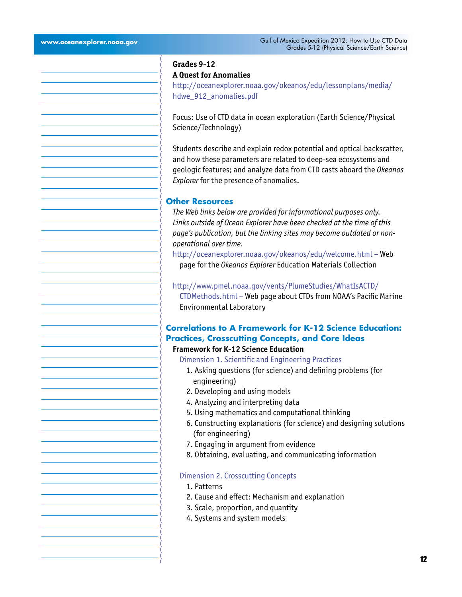## **Grades 9-12 A Quest for Anomalies**

[http://oceanexplorer.noaa.gov/okeanos/edu/lessonplans/media/](http://oceanexplorer.noaa.gov/okeanos/edu/lessonplans/media/hdwe_912_anomalies.pdf) [hdwe\\_912\\_anomalies.pdf](http://oceanexplorer.noaa.gov/okeanos/edu/lessonplans/media/hdwe_912_anomalies.pdf)

Focus: Use of CTD data in ocean exploration (Earth Science/Physical Science/Technology)

Students describe and explain redox potential and optical backscatter, and how these parameters are related to deep-sea ecosystems and geologic features; and analyze data from CTD casts aboard the *Okeanos Explorer* for the presence of anomalies.

#### **Other Resources**

*The Web links below are provided for informational purposes only. Links outside of Ocean Explorer have been checked at the time of this page's publication, but the linking sites may become outdated or nonoperational over time.*

<http://oceanexplorer.noaa.gov/okeanos/edu/welcome.html>– Web page for the *Okeanos Explorer* Education Materials Collection

## [http://www.pmel.noaa.gov/vents/PlumeStudies/WhatIsACTD/](http://www.pmel.noaa.gov/vents/PlumeStudies/WhatIsACTD/CTDMethods.html) [CTDMethods.html](http://www.pmel.noaa.gov/vents/PlumeStudies/WhatIsACTD/CTDMethods.html) – Web page about CTDs from NOAA's Pacific Marine Environmental Laboratory

## **Correlations to A Framework for K-12 Science Education: Practices, Crosscutting Concepts, and Core Ideas**

## **Framework for K-12 Science Education**

Dimension 1. Scientific and Engineering Practices

- 1. Asking questions (for science) and defining problems (for engineering)
- 2. Developing and using models
- 4. Analyzing and interpreting data
- 5. Using mathematics and computational thinking
- 6. Constructing explanations (for science) and designing solutions (for engineering)
- 7. Engaging in argument from evidence
- 8. Obtaining, evaluating, and communicating information

#### Dimension 2. Crosscutting Concepts

- 1. Patterns
- 2. Cause and effect: Mechanism and explanation
- 3. Scale, proportion, and quantity
- 4. Systems and system models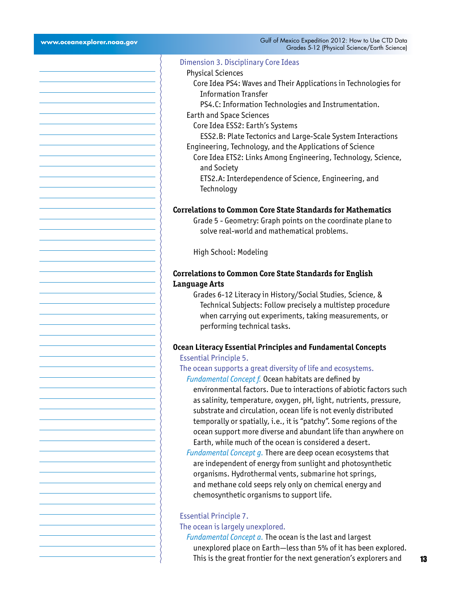$\left\{\right\}$ 

| Grades 5-12 (Physical Science/Earth Science)                                                                                        |
|-------------------------------------------------------------------------------------------------------------------------------------|
| Dimension 3. Disciplinary Core Ideas                                                                                                |
| <b>Physical Sciences</b>                                                                                                            |
| Core Idea PS4: Waves and Their Applications in Technologies for                                                                     |
| <b>Information Transfer</b>                                                                                                         |
| PS4.C: Information Technologies and Instrumentation.                                                                                |
| <b>Earth and Space Sciences</b>                                                                                                     |
| Core Idea ESS2: Earth's Systems                                                                                                     |
| ESS2.B: Plate Tectonics and Large-Scale System Interactions                                                                         |
| Engineering, Technology, and the Applications of Science                                                                            |
| Core Idea ETS2: Links Among Engineering, Technology, Science,<br>and Society                                                        |
| ETS2.A: Interdependence of Science, Engineering, and                                                                                |
| Technology                                                                                                                          |
|                                                                                                                                     |
| <b>Correlations to Common Core State Standards for Mathematics</b>                                                                  |
| Grade 5 - Geometry: Graph points on the coordinate plane to                                                                         |
| solve real-world and mathematical problems.                                                                                         |
|                                                                                                                                     |
| High School: Modeling                                                                                                               |
|                                                                                                                                     |
| <b>Correlations to Common Core State Standards for English</b>                                                                      |
| <b>Language Arts</b><br>Grades 6-12 Literacy in History/Social Studies, Science, &                                                  |
| Technical Subjects: Follow precisely a multistep procedure                                                                          |
| when carrying out experiments, taking measurements, or                                                                              |
| performing technical tasks.                                                                                                         |
|                                                                                                                                     |
| <b>Ocean Literacy Essential Principles and Fundamental Concepts</b>                                                                 |
| <b>Essential Principle 5.</b>                                                                                                       |
| The ocean supports a great diversity of life and ecosystems.                                                                        |
| Fundamental Concept f. Ocean habitats are defined by                                                                                |
| environmental factors. Due to interactions of abiotic factors such                                                                  |
| as salinity, temperature, oxygen, pH, light, nutrients, pressure,                                                                   |
| substrate and circulation, ocean life is not evenly distributed                                                                     |
| temporally or spatially, i.e., it is "patchy". Some regions of the<br>ocean support more diverse and abundant life than anywhere on |
| Earth, while much of the ocean is considered a desert.                                                                              |
| Fundamental Concept g. There are deep ocean ecosystems that                                                                         |
| are independent of energy from sunlight and photosynthetic                                                                          |
| organisms. Hydrothermal vents, submarine hot springs,                                                                               |
| and methane cold seeps rely only on chemical energy and                                                                             |
| chemosynthetic organisms to support life.                                                                                           |
|                                                                                                                                     |
| <b>Essential Principle 7.</b>                                                                                                       |
| The ocean is largely unexplored.                                                                                                    |
| Fundamental Concept a. The ocean is the last and largest                                                                            |

unexplored place on Earth—less than 5% of it has been explored. This is the great frontier for the next generation's explorers and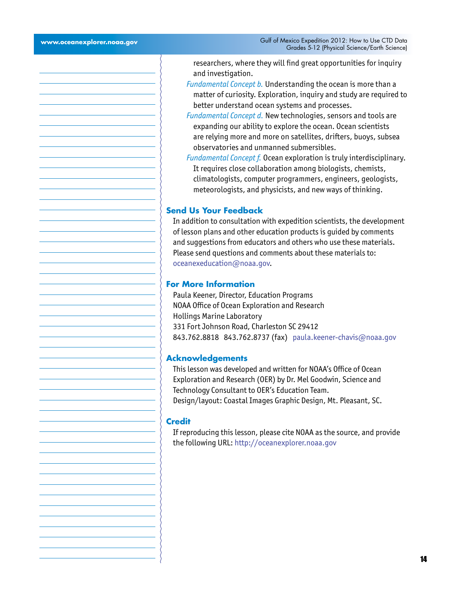researchers, where they will find great opportunities for inquiry and investigation.

- *Fundamental Concept b.* Understanding the ocean is more than a matter of curiosity. Exploration, inquiry and study are required to better understand ocean systems and processes.
- *Fundamental Concept d.* New technologies, sensors and tools are expanding our ability to explore the ocean. Ocean scientists are relying more and more on satellites, drifters, buoys, subsea observatories and unmanned submersibles.
- *Fundamental Concept f.* Ocean exploration is truly interdisciplinary. It requires close collaboration among biologists, chemists, climatologists, computer programmers, engineers, geologists, meteorologists, and physicists, and new ways of thinking.

## **Send Us Your Feedback**

In addition to consultation with expedition scientists, the development of lesson plans and other education products is guided by comments and suggestions from educators and others who use these materials. Please send questions and comments about these materials to: [oceanexeducation@noaa.gov](mailto:oceanexeducation%40noaa.gov?subject=Feedback).

#### **For More Information**

Paula Keener, Director, Education Programs NOAA Office of Ocean Exploration and Research Hollings Marine Laboratory 331 Fort Johnson Road, Charleston SC 29412 843.762.8818 843.762.8737 (fax) [paula.keener-chavis@noaa.gov](mailto:paula.keener-chavis%40noaa.gov?subject=For%20More%20Information)

#### **Acknowledgements**

This lesson was developed and written for NOAA's Office of Ocean Exploration and Research (OER) by Dr. Mel Goodwin, Science and Technology Consultant to OER's Education Team. Design/layout: Coastal Images Graphic Design, Mt. Pleasant, SC.

#### **Credit**

If reproducing this lesson, please cite NOAA as the source, and provide the following URL: http://oceanexplorer.noaa.gov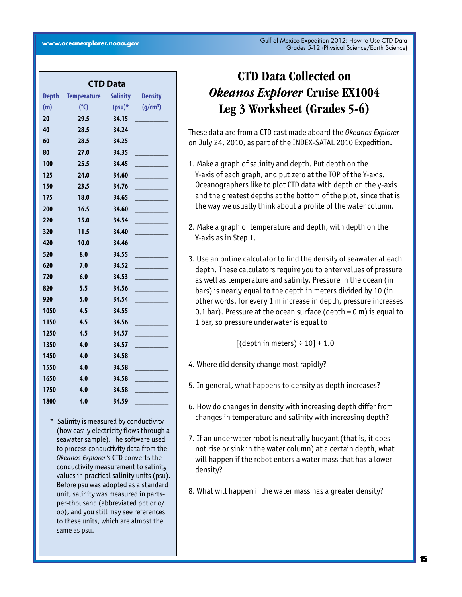| <b>CTD Data</b> |                    |                 |                      |  |  |  |  |  |
|-----------------|--------------------|-----------------|----------------------|--|--|--|--|--|
| <b>Depth</b>    | <b>Temperature</b> | <b>Salinity</b> | <b>Density</b>       |  |  |  |  |  |
| (m)             | $(^{\circ}C)$      | $(psu)*$        | (g/cm <sup>3</sup> ) |  |  |  |  |  |
| 20              | 29.5               | 34.15           |                      |  |  |  |  |  |
| 40              | 28.5               | 34.24           |                      |  |  |  |  |  |
| 60              | 28.5               | 34.25           |                      |  |  |  |  |  |
| 80              | 27.0               | 34.35           |                      |  |  |  |  |  |
| 100             | 25.5               | 34.45           |                      |  |  |  |  |  |
| 125             | 24.0               | 34.60           |                      |  |  |  |  |  |
| 150             | 23.5               | 34.76           |                      |  |  |  |  |  |
| 175             | 18.0               | 34.65           |                      |  |  |  |  |  |
| 200             | 16.5               | 34.60           |                      |  |  |  |  |  |
| 220             | 15.0               | 34.54           |                      |  |  |  |  |  |
| 320             | 11.5               | 34.40           |                      |  |  |  |  |  |
| 420             | 10.0               | 34.46           |                      |  |  |  |  |  |
| 520             | 8.0                | 34.55           |                      |  |  |  |  |  |
| 620             | 7.0                | 34.52           |                      |  |  |  |  |  |
| 720             | 6.0                | 34.53           |                      |  |  |  |  |  |
| 820             | 5.5                | 34.56           |                      |  |  |  |  |  |
| 920             | 5.0                | 34.54           |                      |  |  |  |  |  |
| 1050            | 4.5                | 34.55           |                      |  |  |  |  |  |
| 1150            | 4.5                | 34.56           |                      |  |  |  |  |  |
| 1250            | 4.5                | 34.57           |                      |  |  |  |  |  |
| 1350            | 4.0                | 34.57           |                      |  |  |  |  |  |
| 1450            | 4.0                | 34.58           |                      |  |  |  |  |  |
| 1550            | 4.0                | 34.58           |                      |  |  |  |  |  |
| 1650            | 4.0                | 34.58           |                      |  |  |  |  |  |
| 1750            | 4.0                | 34.58           |                      |  |  |  |  |  |
| 1800            | 4.0                | 34.59           |                      |  |  |  |  |  |

to these units, which are almost the Salinity is measured by conductivity (how easily electricity flows through a seawater sample). The software used to process conductivity data from the *Okeanos Explorer's* CTD converts the conductivity measurement to salinity values in practical salinity units (psu). Before psu was adopted as a standard unit, salinity was measured in partsper-thousand (abbreviated ppt or o/ oo), and you still may see references same as psu.

# CTD Data Collected on *Okeanos Explorer* Cruise EX1004 Leg 3 Worksheet (Grades 5-6)

These data are from a CTD cast made aboard the *Okeanos Explorer*  on July 24, 2010, as part of the INDEX-SATAL 2010 Expedition.

- 1. Make a graph of salinity and depth. Put depth on the Y-axis of each graph, and put zero at the TOP of the Y-axis. Oceanographers like to plot CTD data with depth on the y-axis and the greatest depths at the bottom of the plot, since that is the way we usually think about a profile of the water column.
- 2. Make a graph of temperature and depth, with depth on the Y-axis as in Step 1.
- 3. Use an online calculator to find the density of seawater at each depth. These calculators require you to enter values of pressure as well as temperature and salinity. Pressure in the ocean (in bars) is nearly equal to the depth in meters divided by 10 (in other words, for every 1 m increase in depth, pressure increases 0.1 bar). Pressure at the ocean surface (depth  $= 0$  m) is equal to 1 bar, so pressure underwater is equal to

 $[(depth in meters) \div 10] + 1.0$ 

- 4. Where did density change most rapidly?
- 5. In general, what happens to density as depth increases?
- 6. How do changes in density with increasing depth differ from changes in temperature and salinity with increasing depth?
- 7. If an underwater robot is neutrally buoyant (that is, it does not rise or sink in the water column) at a certain depth, what will happen if the robot enters a water mass that has a lower density?
- 8. What will happen if the water mass has a greater density?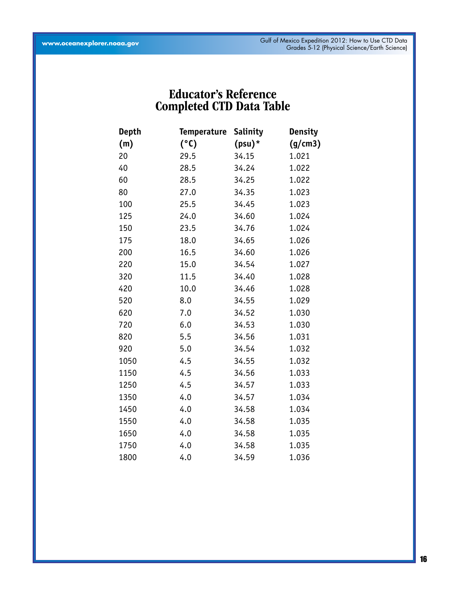## Educator's Reference Completed CTD Data Table

| <b>Depth</b> | <b>Temperature</b> | <b>Salinity</b> | <b>Density</b> |
|--------------|--------------------|-----------------|----------------|
| (m)          | (°C)               | $(psu)^*$       | (g/cm3)        |
| 20           | 29.5               | 34.15           | 1.021          |
| 40           | 28.5               | 34.24           | 1.022          |
| 60           | 28.5               | 34.25           | 1.022          |
| 80           | 27.0               | 34.35           | 1.023          |
| 100          | 25.5               | 34.45           | 1.023          |
| 125          | 24.0               | 34.60           | 1.024          |
| 150          | 23.5               | 34.76           | 1.024          |
| 175          | 18.0               | 34.65           | 1.026          |
| 200          | 16.5               | 34.60           | 1.026          |
| 220          | 15.0               | 34.54           | 1.027          |
| 320          | 11.5               | 34.40           | 1.028          |
| 420          | 10.0               | 34.46           | 1.028          |
| 520          | 8.0                | 34.55           | 1.029          |
| 620          | 7.0                | 34.52           | 1.030          |
| 720          | 6.0                | 34.53           | 1.030          |
| 820          | 5.5                | 34.56           | 1.031          |
| 920          | 5.0                | 34.54           | 1.032          |
| 1050         | 4.5                | 34.55           | 1.032          |
| 1150         | 4.5                | 34.56           | 1.033          |
| 1250         | 4.5                | 34.57           | 1.033          |
| 1350         | 4.0                | 34.57           | 1.034          |
| 1450         | 4.0                | 34.58           | 1.034          |
| 1550         | 4.0                | 34.58           | 1.035          |
| 1650         | 4.0                | 34.58           | 1.035          |
| 1750         | 4.0                | 34.58           | 1.035          |
| 1800         | 4.0                | 34.59           | 1.036          |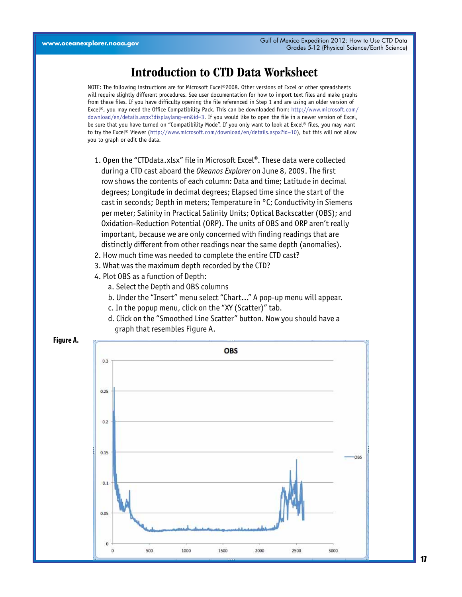## Introduction to CTD Data Worksheet

NOTE: The following instructions are for Microsoft Excel®2008. Other versions of Excel or other spreadsheets will require slightly different procedures. See user documentation for how to import text files and make graphs from these files. If you have difficulty opening the file referenced in Step 1 and are using an older version of Excel®, you may need the Office Compatibility Pack. This can be downloaded from: [http://www.microsoft.com/](http://www.microsoft.com/download/en/details.aspx?displaylang=en&id=3) [download/en/details.aspx?displaylang=en&id=3.](http://www.microsoft.com/download/en/details.aspx?displaylang=en&id=3) If you would like to open the file in a newer version of Excel, be sure that you have turned on "Compatibility Mode". If you only want to look at Excel® files, you may want to try the Excel® Viewer [\(http://www.microsoft.com/download/en/details.aspx?id=10\)](http://www.microsoft.com/download/en/details.aspx?id=10), but this will not allow you to graph or edit the data.

- 1. Open the "CTDdata.xlsx" file in Microsoft Excel®. These data were collected during a CTD cast aboard the *Okeanos Explorer* on June 8, 2009. The first row shows the contents of each column: Data and time; Latitude in decimal degrees; Longitude in decimal degrees; Elapsed time since the start of the cast in seconds; Depth in meters; Temperature in °C; Conductivity in Siemens per meter; Salinity in Practical Salinity Units; Optical Backscatter (OBS); and Oxidation-Reduction Potential (ORP). The units of OBS and ORP aren't really important, because we are only concerned with finding readings that are distinctly different from other readings near the same depth (anomalies).
- 2. How much time was needed to complete the entire CTD cast?
- 3. What was the maximum depth recorded by the CTD?
- 4. Plot OBS as a function of Depth:
	- a. Select the Depth and OBS columns
	- b. Under the "Insert" menu select "Chart..." A pop-up menu will appear.
	- c. In the popup menu, click on the "XY (Scatter)" tab.
	- d. Click on the "Smoothed Line Scatter" button. Now you should have a graph that resembles Figure A.

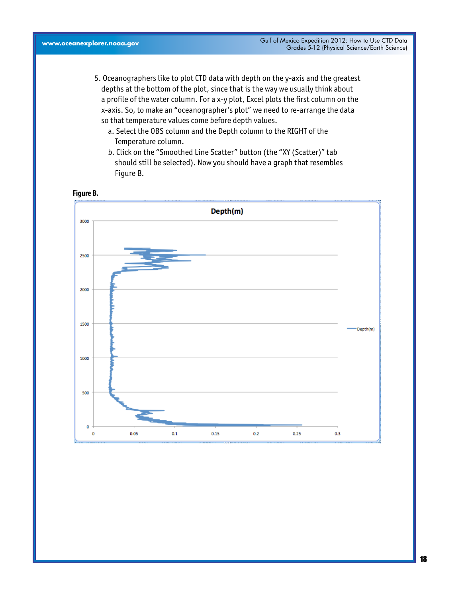- 5. Oceanographers like to plot CTD data with depth on the y-axis and the greatest depths at the bottom of the plot, since that is the way we usually think about a profile of the water column. For a x-y plot, Excel plots the first column on the x-axis. So, to make an "oceanographer's plot" we need to re-arrange the data so that temperature values come before depth values.
	- a. Select the OBS column and the Depth column to the RIGHT of the Temperature column.
	- b. Click on the "Smoothed Line Scatter" button (the "XY (Scatter)" tab should still be selected). Now you should have a graph that resembles Figure B.

#### **Figure B.**

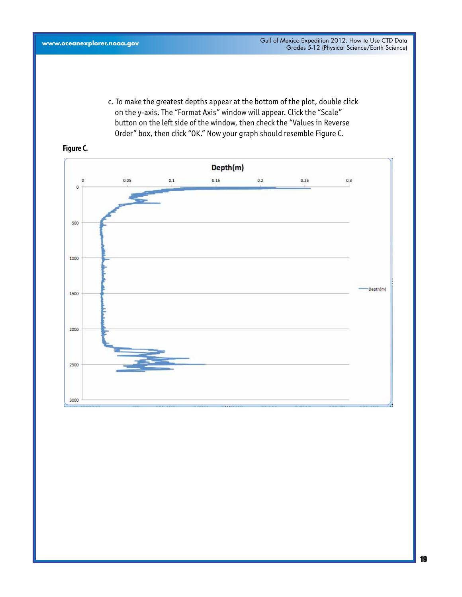c. To make the greatest depths appear at the bottom of the plot, double click on the y-axis. The "Format Axis" window will appear. Click the "Scale" button on the left side of the window, then check the "Values in Reverse Order" box, then click "OK." Now your graph should resemble Figure C.



## **Figure C.**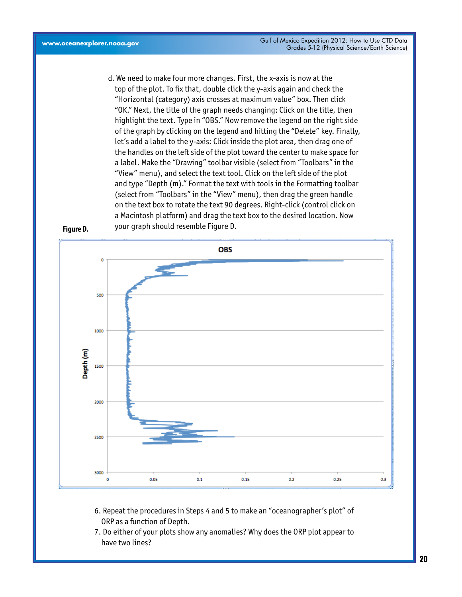d. We need to make four more changes. First, the x-axis is now at the top of the plot. To fix that, double click the y-axis again and check the "Horizontal (category) axis crosses at maximum value" box. Then click "OK." Next, the title of the graph needs changing: Click on the title, then highlight the text. Type in "OBS." Now remove the legend on the right side of the graph by clicking on the legend and hitting the "Delete" key. Finally, let's add a label to the y-axis: Click inside the plot area, then drag one of the handles on the left side of the plot toward the center to make space for a label. Make the "Drawing" toolbar visible (select from "Toolbars" in the "View" menu), and select the text tool. Click on the left side of the plot and type "Depth (m)." Format the text with tools in the Formatting toolbar (select from "Toolbars" in the "View" menu), then drag the green handle on the text box to rotate the text 90 degrees. Right-click (control click on a Macintosh platform) and drag the text box to the desired location. Now your graph should resemble Figure D.



- ORP as a function of Depth. 6. Repeat the procedures in Steps 4 and 5 to make an "oceanographer's plot" of
	- 7. Do either of your plots show any anomalies? Why does the ORP plot appear to have two lines?